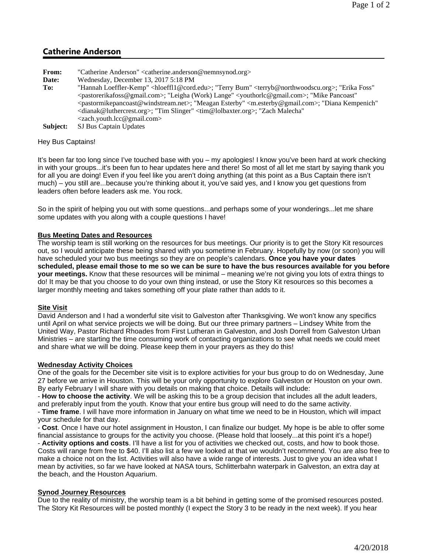# **Catherine Anderson**

- **From:** "Catherine Anderson" <catherine.anderson@nemnsynod.org>
- **Date:** Wednesday, December 13, 2017 5:18 PM
- To: "Hannah Loeffler-Kemp" <hloeffl1@cord.edu>; "Terry Burn" <terryb@northwoodscu.org>; "Erika Foss" <pastorerikafoss@gmail.com>; "Leigha (Work) Lange" <youthorlc@gmail.com>; "Mike Pancoast" <pastormikepancoast@windstream.net>; "Meagan Esterby" <m.esterby@gmail.com>; "Diana Kempenich" <dianak@luthercrest.org>; "Tim Slinger" <tim@lolbaxter.org>; "Zach Malecha" <zach.youth.lcc@gmail.com>
- **Subject:** SJ Bus Captain Updates

### Hey Bus Captains!

It's been far too long since I've touched base with you – my apologies! I know you've been hard at work checking in with your groups...it's been fun to hear updates here and there! So most of all let me start by saying thank you for all you are doing! Even if you feel like you aren't doing anything (at this point as a Bus Captain there isn't much) – you still are...because you're thinking about it, you've said yes, and I know you get questions from leaders often before leaders ask me. You rock.

So in the spirit of helping you out with some questions...and perhaps some of your wonderings...let me share some updates with you along with a couple questions I have!

## **Bus Meeting Dates and Resources**

The worship team is still working on the resources for bus meetings. Our priority is to get the Story Kit resources out, so I would anticipate these being shared with you sometime in February. Hopefully by now (or soon) you will have scheduled your two bus meetings so they are on people's calendars. **Once you have your dates scheduled, please email those to me so we can be sure to have the bus resources available for you before your meetings.** Know that these resources will be minimal – meaning we're not giving you lots of extra things to do! It may be that you choose to do your own thing instead, or use the Story Kit resources so this becomes a larger monthly meeting and takes something off your plate rather than adds to it.

### **Site Visit**

David Anderson and I had a wonderful site visit to Galveston after Thanksgiving. We won't know any specifics until April on what service projects we will be doing. But our three primary partners – Lindsey White from the United Way, Pastor Richard Rhoades from First Lutheran in Galveston, and Josh Dorrell from Galveston Urban Ministries – are starting the time consuming work of contacting organizations to see what needs we could meet and share what we will be doing. Please keep them in your prayers as they do this!

### **Wednesday Activity Choices**

One of the goals for the December site visit is to explore activities for your bus group to do on Wednesday, June 27 before we arrive in Houston. This will be your only opportunity to explore Galveston or Houston on your own. By early February I will share with you details on making that choice. Details will include:

- **How to choose the activity**. We will be asking this to be a group decision that includes all the adult leaders, and preferably input from the youth. Know that your entire bus group will need to do the same activity.

- **Time frame**. I will have more information in January on what time we need to be in Houston, which will impact your schedule for that day.

- **Cost**. Once I have our hotel assignment in Houston, I can finalize our budget. My hope is be able to offer some financial assistance to groups for the activity you choose. (Please hold that loosely...at this point it's a hope!) - **Activity options and costs**. I'll have a list for you of activities we checked out, costs, and how to book those. Costs will range from free to \$40. I'll also list a few we looked at that we wouldn't recommend. You are also free to make a choice not on the list. Activities will also have a wide range of interests. Just to give you an idea what I mean by activities, so far we have looked at NASA tours, Schlitterbahn waterpark in Galveston, an extra day at the beach, and the Houston Aquarium.

### **Synod Journey Resources**

Due to the reality of ministry, the worship team is a bit behind in getting some of the promised resources posted. The Story Kit Resources will be posted monthly (I expect the Story 3 to be ready in the next week). If you hear